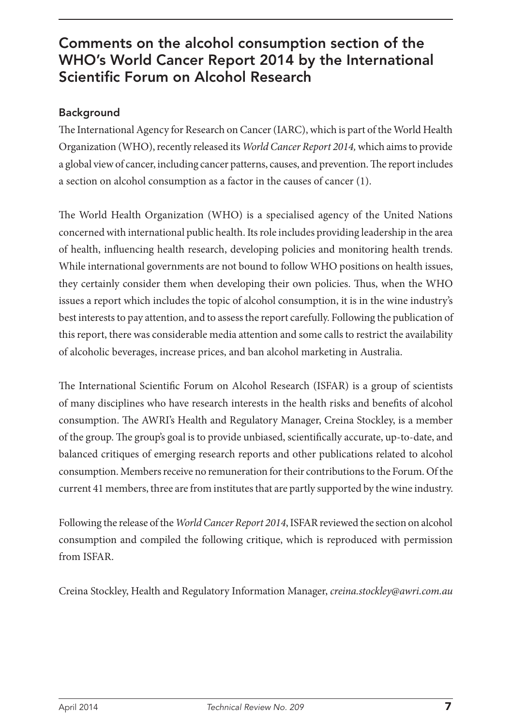## Comments on the alcohol consumption section of the WHO's World Cancer Report 2014 by the International Scientific Forum on Alcohol Research

## Background

The International Agency for Research on Cancer (IARC), which is part of the World Health Organization (WHO), recently released its *World Cancer Report 2014,* which aims to provide a global view of cancer, including cancer patterns, causes, and prevention. The report includes a section on alcohol consumption as a factor in the causes of cancer (1).

The World Health Organization (WHO) is a specialised agency of the United Nations concerned with international public health. Its role includes providing leadership in the area of health, influencing health research, developing policies and monitoring health trends. While international governments are not bound to follow WHO positions on health issues, they certainly consider them when developing their own policies. Thus, when the WHO issues a report which includes the topic of alcohol consumption, it is in the wine industry's best interests to pay attention, and to assess the report carefully. Following the publication of this report, there was considerable media attention and some calls to restrict the availability of alcoholic beverages, increase prices, and ban alcohol marketing in Australia.

The International Scientific Forum on Alcohol Research (ISFAR) is a group of scientists of many disciplines who have research interests in the health risks and benefits of alcohol consumption. The AWRI's Health and Regulatory Manager, Creina Stockley, is a member of the group. The group's goal is to provide unbiased, scientifically accurate, up-to-date, and balanced critiques of emerging research reports and other publications related to alcohol consumption. Members receive no remuneration for their contributions to the Forum. Of the current 41 members, three are from institutes that are partly supported by the wine industry.

Following the release of the *World Cancer Report 2014*, ISFAR reviewed the section on alcohol consumption and compiled the following critique, which is reproduced with permission from ISFAR.

Creina Stockley, Health and Regulatory Information Manager, *creina.stockley@awri.com.au*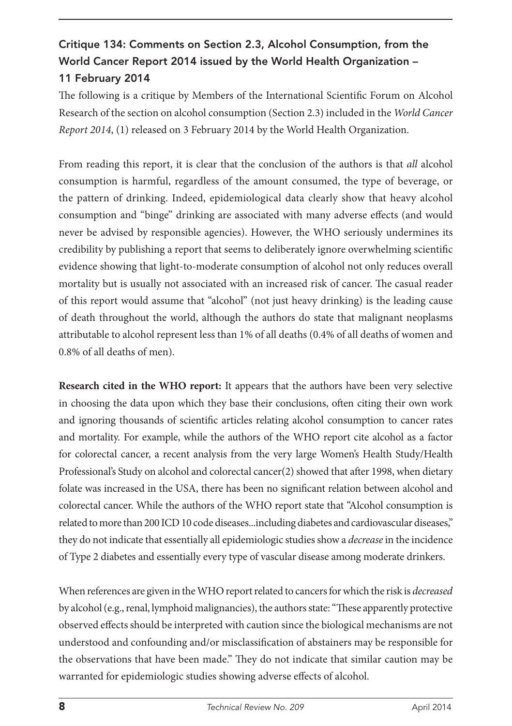## Critique 134: Comments on Section 2.3, Alcohol Consumption, from the World Cancer Report 2014 issued by the World Health Organization – 11 February 2014

The following is a critique by Members of the International Scientific Forum on Alcohol Research of the section on alcohol consumption (Section 2.3) included in the *World Cancer Report 2014*, (1) released on 3 February 2014 by the World Health Organization.

From reading this report, it is clear that the conclusion of the authors is that *all* alcohol consumption is harmful, regardless of the amount consumed, the type of beverage, or the pattern of drinking. Indeed, epidemiological data clearly show that heavy alcohol consumption and "binge" drinking are associated with many adverse effects (and would never be advised by responsible agencies). However, the WHO seriously undermines its credibility by publishing a report that seems to deliberately ignore overwhelming scientific evidence showing that light-to-moderate consumption of alcohol not only reduces overall mortality but is usually not associated with an increased risk of cancer. The casual reader of this report would assume that "alcohol" (not just heavy drinking) is the leading cause of death throughout the world, although the authors do state that malignant neoplasms attributable to alcohol represent less than 1% of all deaths (0.4% of all deaths of women and 0.8% of all deaths of men).

**Research cited in the WHO report:** It appears that the authors have been very selective in choosing the data upon which they base their conclusions, often citing their own work and ignoring thousands of scientific articles relating alcohol consumption to cancer rates and mortality. For example, while the authors of the WHO report cite alcohol as a factor for colorectal cancer, a recent analysis from the very large Women's Health Study/Health Professional's Study on alcohol and colorectal cancer(2) showed that after 1998, when dietary folate was increased in the USA, there has been no significant relation between alcohol and colorectal cancer. While the authors of the WHO report state that "Alcohol consumption is related to more than 200 ICD 10 code diseases...including diabetes and cardiovascular diseases," they do not indicate that essentially all epidemiologic studies show a *decrease* in the incidence of Type 2 diabetes and essentially every type of vascular disease among moderate drinkers.

When references are given in the WHO report related to cancers for which the risk is *decreased* by alcohol (e.g., renal, lymphoid malignancies), the authors state: "These apparently protective observed effects should be interpreted with caution since the biological mechanisms are not understood and confounding and/or misclassification of abstainers may be responsible for the observations that have been made." They do not indicate that similar caution may be warranted for epidemiologic studies showing adverse effects of alcohol.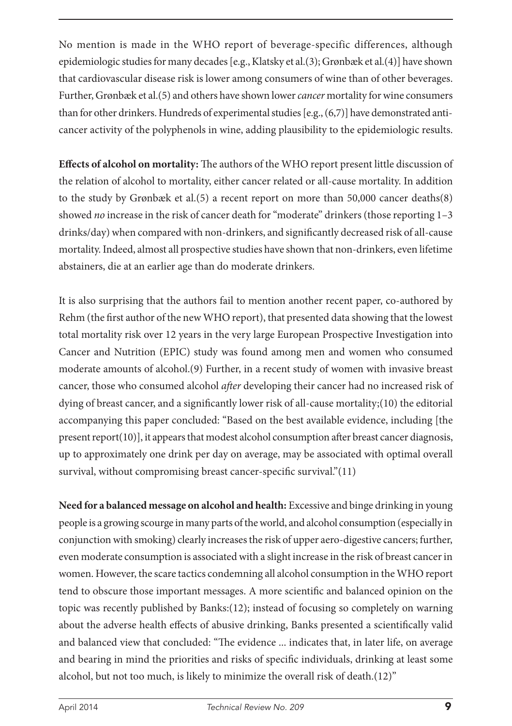No mention is made in the WHO report of beverage-specific differences, although epidemiologic studies for many decades [e.g., Klatsky et al.(3); Grønbæk et al.(4)] have shown that cardiovascular disease risk is lower among consumers of wine than of other beverages. Further, Grønbæk et al.(5) and others have shown lower *cancer* mortality for wine consumers than for other drinkers. Hundreds of experimental studies [e.g., (6,7)] have demonstrated anticancer activity of the polyphenols in wine, adding plausibility to the epidemiologic results.

**Effects of alcohol on mortality:** The authors of the WHO report present little discussion of the relation of alcohol to mortality, either cancer related or all-cause mortality. In addition to the study by Grønbæk et al.(5) a recent report on more than 50,000 cancer deaths(8) showed *no* increase in the risk of cancer death for "moderate" drinkers (those reporting 1-3 drinks/day) when compared with non-drinkers, and significantly decreased risk of all-cause mortality. Indeed, almost all prospective studies have shown that non-drinkers, even lifetime abstainers, die at an earlier age than do moderate drinkers.

It is also surprising that the authors fail to mention another recent paper, co-authored by Rehm (the first author of the new WHO report), that presented data showing that the lowest total mortality risk over 12 years in the very large European Prospective Investigation into Cancer and Nutrition (EPIC) study was found among men and women who consumed moderate amounts of alcohol.(9) Further, in a recent study of women with invasive breast cancer, those who consumed alcohol *after* developing their cancer had no increased risk of dying of breast cancer, and a significantly lower risk of all-cause mortality;(10) the editorial accompanying this paper concluded: "Based on the best available evidence, including [the present report(10)], it appears that modest alcohol consumption after breast cancer diagnosis, up to approximately one drink per day on average, may be associated with optimal overall survival, without compromising breast cancer-specific survival."(11)

**Need for a balanced message on alcohol and health:** Excessive and binge drinking in young people is a growing scourge in many parts of the world, and alcohol consumption (especially in conjunction with smoking) clearly increases the risk of upper aero-digestive cancers; further, even moderate consumption is associated with a slight increase in the risk of breast cancer in women. However, the scare tactics condemning all alcohol consumption in the WHO report tend to obscure those important messages. A more scientific and balanced opinion on the topic was recently published by Banks:(12); instead of focusing so completely on warning about the adverse health effects of abusive drinking, Banks presented a scientifically valid and balanced view that concluded: "The evidence ... indicates that, in later life, on average and bearing in mind the priorities and risks of specific individuals, drinking at least some alcohol, but not too much, is likely to minimize the overall risk of death.(12)"